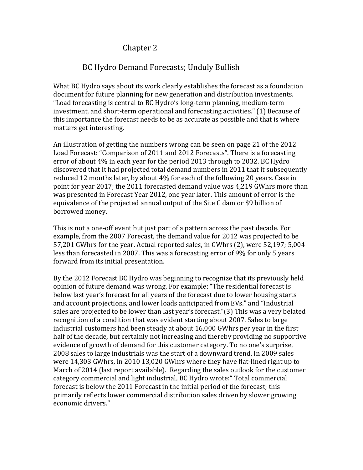## Chapter 2

## BC Hydro Demand Forecasts; Unduly Bullish

What BC Hydro says about its work clearly establishes the forecast as a foundation document for future planning for new generation and distribution investments. "Load forecasting is central to BC Hydro's long-term planning, medium-term investment, and short-term operational and forecasting activities." (1) Because of this importance the forecast needs to be as accurate as possible and that is where matters get interesting.

An illustration of getting the numbers wrong can be seen on page 21 of the 2012 Load Forecast: "Comparison of 2011 and 2012 Forecasts". There is a forecasting error of about 4% in each year for the period 2013 through to 2032. BC Hydro discovered that it had projected total demand numbers in 2011 that it subsequently reduced 12 months later, by about 4% for each of the following 20 years. Case in point for year 2017; the 2011 forecasted demand value was 4,219 GWhrs more than was presented in Forecast Year 2012, one year later. This amount of error is the equivalence of the projected annual output of the Site C dam or \$9 billion of borrowed money.

This is not a one-off event but just part of a pattern across the past decade. For example, from the 2007 Forecast, the demand value for 2012 was projected to be 57,201 GWhrs for the year. Actual reported sales, in GWhrs (2), were 52,197; 5,004 less than forecasted in 2007. This was a forecasting error of 9% for only 5 years forward from its initial presentation.

By the 2012 Forecast BC Hydro was beginning to recognize that its previously held opinion of future demand was wrong. For example: "The residential forecast is below last year's forecast for all years of the forecast due to lower housing starts and account projections, and lower loads anticipated from EVs." and "Industrial sales are projected to be lower than last year's forecast."(3) This was a very belated recognition of a condition that was evident starting about 2007. Sales to large industrial customers had been steady at about 16,000 GWhrs per year in the first half of the decade, but certainly not increasing and thereby providing no supportive evidence of growth of demand for this customer category. To no one's surprise, 2008 sales to large industrials was the start of a downward trend. In 2009 sales were 14,303 GWhrs, in 2010 13,020 GWhrs where they have flat-lined right up to March of 2014 (last report available). Regarding the sales outlook for the customer category commercial and light industrial, BC Hydro wrote:" Total commercial forecast is below the 2011 Forecast in the initial period of the forecast; this primarily reflects lower commercial distribution sales driven by slower growing economic drivers."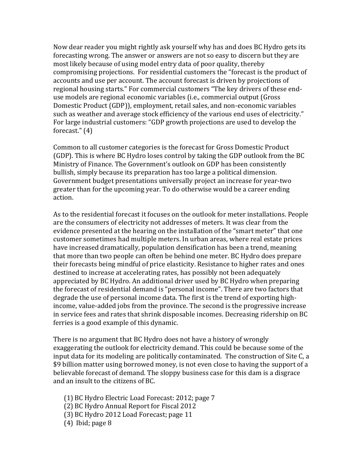Now dear reader you might rightly ask yourself why has and does BC Hydro gets its forecasting wrong. The answer or answers are not so easy to discern but they are most likely because of using model entry data of poor quality, thereby compromising projections. For residential customers the "forecast is the product of accounts and use per account. The account forecast is driven by projections of regional housing starts." For commercial customers "The key drivers of these enduse models are regional economic variables (i.e., commercial output (Gross Domestic Product (GDP)), employment, retail sales, and non-economic variables such as weather and average stock efficiency of the various end uses of electricity." For large industrial customers: "GDP growth projections are used to develop the forecast." (4)

Common to all customer categories is the forecast for Gross Domestic Product (GDP). This is where BC Hydro loses control by taking the GDP outlook from the BC Ministry of Finance. The Government's outlook on GDP has been consistently bullish, simply because its preparation has too large a political dimension. Government budget presentations universally project an increase for year-two greater than for the upcoming year. To do otherwise would be a career ending action.

As to the residential forecast it focuses on the outlook for meter installations. People are the consumers of electricity not addresses of meters. It was clear from the evidence presented at the hearing on the installation of the "smart meter" that one customer sometimes had multiple meters. In urban areas, where real estate prices have increased dramatically, population densification has been a trend, meaning that more than two people can often be behind one meter. BC Hydro does prepare their forecasts being mindful of price elasticity. Resistance to higher rates and ones destined to increase at accelerating rates, has possibly not been adequately appreciated by BC Hydro. An additional driver used by BC Hydro when preparing the forecast of residential demand is "personal income". There are two factors that degrade the use of personal income data. The first is the trend of exporting highincome, value-added jobs from the province. The second is the progressive increase in service fees and rates that shrink disposable incomes. Decreasing ridership on BC ferries is a good example of this dynamic.

There is no argument that BC Hydro does not have a history of wrongly exaggerating the outlook for electricity demand. This could be because some of the input data for its modeling are politically contaminated. The construction of Site C, a \$9 billion matter using borrowed money, is not even close to having the support of a believable forecast of demand. The sloppy business case for this dam is a disgrace and an insult to the citizens of BC.

(1) BC Hydro Electric Load Forecast: 2012; page 7

(2) BC Hydro Annual Report for Fiscal 2012

- (3) BC Hydro 2012 Load Forecast; page 11
- (4) Ibid; page 8